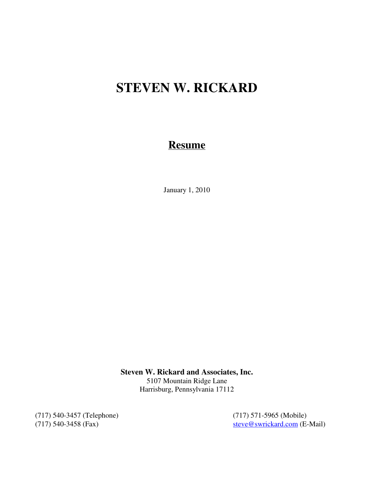# **STEVEN W. RICKARD**

# **Resume**

January 1, 2010

**Steven W. Rickard and Associates, Inc.** 5107 Mountain Ridge Lane Harrisburg, Pennsylvania 17112

(717) 540-3457 (Telephone) (717) 571-5965 (Mobile)<br>
(717) 540-3458 (Fax) steve@swrickard.com (E-

steve@swrickard.com (E-Mail)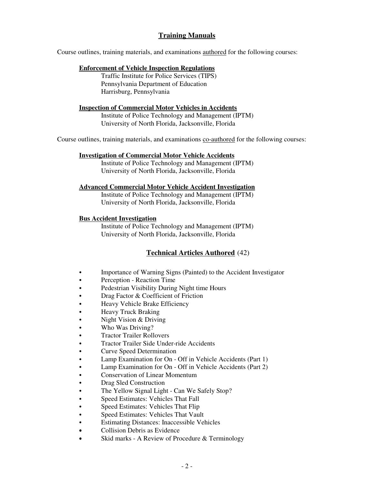# **Training Manuals**

Course outlines, training materials, and examinations authored for the following courses:

#### **Enforcement of Vehicle Inspection Regulations**

Traffic Institute for Police Services (TIPS) Pennsylvania Department of Education Harrisburg, Pennsylvania

#### **Inspection of Commercial Motor Vehicles in Accidents**

Institute of Police Technology and Management (IPTM) University of North Florida, Jacksonville, Florida

Course outlines, training materials, and examinations co-authored for the following courses:

#### **Investigation of Commercial Motor Vehicle Accidents**

Institute of Police Technology and Management (IPTM) University of North Florida, Jacksonville, Florida

#### **Advanced Commercial Motor Vehicle Accident Investigation**

Institute of Police Technology and Management (IPTM) University of North Florida, Jacksonville, Florida

#### **Bus Accident Investigation**

Institute of Police Technology and Management (IPTM) University of North Florida, Jacksonville, Florida

# **Technical Articles Authored** (42)

- Importance of Warning Signs (Painted) to the Accident Investigator
- Perception Reaction Time
- Pedestrian Visibility During Night time Hours
- Drag Factor & Coefficient of Friction
- Heavy Vehicle Brake Efficiency
- Heavy Truck Braking
- $\bullet$  Night Vision & Driving
- Who Was Driving?
- **Tractor Trailer Rollovers**
- **•** Tractor Trailer Side Under-ride Accidents
- Curve Speed Determination
- Lamp Examination for On Off in Vehicle Accidents (Part 1)
- Lamp Examination for On Off in Vehicle Accidents (Part 2)
- Conservation of Linear Momentum
- Drag Sled Construction
- The Yellow Signal Light Can We Safely Stop?
- Speed Estimates: Vehicles That Fall
- Speed Estimates: Vehicles That Flip
- Speed Estimates: Vehicles That Vault
- Estimating Distances: Inaccessible Vehicles
- Collision Debris as Evidence
- Skid marks A Review of Procedure & Terminology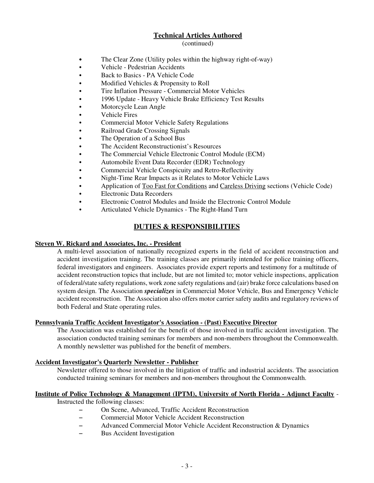# **Technical Articles Authored**

#### (continued)

- The Clear Zone (Utility poles within the highway right-of-way)
- Vehicle Pedestrian Accidents
- Back to Basics PA Vehicle Code
- Modified Vehicles & Propensity to Roll
- Tire Inflation Pressure Commercial Motor Vehicles
- 1996 Update Heavy Vehicle Brake Efficiency Test Results
- Motorcycle Lean Angle
- Vehicle Fires
- Commercial Motor Vehicle Safety Regulations
- Railroad Grade Crossing Signals
- The Operation of a School Bus
- The Accident Reconstructionist's Resources
- The Commercial Vehicle Electronic Control Module (ECM)
- Automobile Event Data Recorder (EDR) Technology
- Commercial Vehicle Conspicuity and Retro-Reflectivity
- Night-Time Rear Impacts as it Relates to Motor Vehicle Laws
- Application of Too Fast for Conditions and Careless Driving sections (Vehicle Code)
- Electronic Data Recorders
- Electronic Control Modules and Inside the Electronic Control Module
- Articulated Vehicle Dynamics The Right-Hand Turn

# **DUTIES & RESPONSIBILITIES**

#### **Steven W. Rickard and Associates, Inc. - President**

A multi-level association of nationally recognized experts in the field of accident reconstruction and accident investigation training. The training classes are primarily intended for police training officers, federal investigators and engineers. Associates provide expert reports and testimony for a multitude of accident reconstruction topics that include, but are not limited to; motor vehicle inspections, application of federal/state safety regulations, work zone safety regulations and (air) brake force calculations based on system design. The Association *specializes* in Commercial Motor Vehicle, Bus and Emergency Vehicle accident reconstruction. The Association also offers motor carrier safety audits and regulatory reviews of both Federal and State operating rules.

#### **Pennsylvania Traffic Accident Investigator's Association - (Past) Executive Director**

The Association was established for the benefit of those involved in traffic accident investigation. The association conducted training seminars for members and non-members throughout the Commonwealth. A monthly newsletter was published for the benefit of members.

#### **Accident Investigator's Quarterly Newsletter - Publisher**

Newsletter offered to those involved in the litigation of traffic and industrial accidents. The association conducted training seminars for members and non-members throughout the Commonwealth.

### **Institute of Police Technology & Management (IPTM), University of North Florida - Adjunct Faculty** -

Instructed the following classes:

- On Scene, Advanced, Traffic Accident Reconstruction
- Commercial Motor Vehicle Accident Reconstruction
- Advanced Commercial Motor Vehicle Accident Reconstruction & Dynamics
- Bus Accident Investigation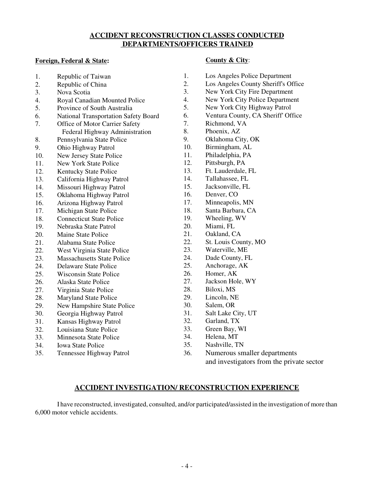# **ACCIDENT RECONSTRUCTION CLASSES CONDUCTED DEPARTMENTS/OFFICERS TRAINED**

#### **Foreign, Federal & State:**

| 1.  | Republic of Taiwan                          |
|-----|---------------------------------------------|
| 2.  | Republic of China                           |
| 3.  | Nova Scotia                                 |
| 4.  | Royal Canadian Mounted Police               |
| 5.  | Province of South Australia                 |
| 6.  | <b>National Transportation Safety Board</b> |
| 7.  | Office of Motor Carrier Safety              |
|     | Federal Highway Administration              |
| 8.  | Pennsylvania State Police                   |
| 9.  | Ohio Highway Patrol                         |
| 10. | New Jersey State Police                     |
| 11. | <b>New York State Police</b>                |
| 12. | Kentucky State Police                       |
| 13. | California Highway Patrol                   |
| 14. | Missouri Highway Patrol                     |
| 15. | Oklahoma Highway Patrol                     |
| 16. | Arizona Highway Patrol                      |
| 17. | Michigan State Police                       |
| 18. | <b>Connecticut State Police</b>             |
| 19. | Nebraska State Patrol                       |
| 20. | Maine State Police                          |
| 21. | Alabama State Police                        |
| 22. | West Virginia State Police                  |
| 23. | <b>Massachusetts State Police</b>           |
| 24. | <b>Delaware State Police</b>                |
| 25. | <b>Wisconsin State Police</b>               |
| 26. | Alaska State Police                         |
| 27. | Virginia State Police                       |
| 28. | <b>Maryland State Police</b>                |
| 29. | New Hampshire State Police                  |
| 30. | Georgia Highway Patrol                      |
| 31. | Kansas Highway Patrol                       |
| 32. | Louisiana State Police                      |
| 33. | Minnesota State Police                      |
| 34. | <b>Iowa State Police</b>                    |

35. Tennessee Highway Patrol

#### **County & City**:

- 1. Los Angeles Police Department
- 2. Los Angeles County Sheriff's Office
- 3. New York City Fire Department
- 4. New York City Police Department
- 5. New York City Highway Patrol
- 6. Ventura County, CA Sheriff' Office
- 7. Richmond, VA
- 8. Phoenix, AZ
- 9. Oklahoma City, OK
- 10. Birmingham, AL
- 11. Philadelphia, PA
- 12. Pittsburgh, PA
- 13. Ft. Lauderdale, FL
- 14. Tallahassee, FL
- 15. Jacksonville, FL
- 16. Denver, CO
- 17. Minneapolis, MN
- 18. Santa Barbara, CA
- 19. Wheeling, WV
- 20. Miami, FL
- 21. Oakland, CA
- 22. St. Louis County, MO
- 23. Waterville, ME
- 24. Dade County, FL
- 25. Anchorage, AK
- 26. Homer, AK
- 27. Jackson Hole, WY
- 28. Biloxi, MS
- 29. Lincoln, NE
- 30. Salem, OR
- 31. Salt Lake City, UT
- 32. Garland, TX
- 33. Green Bay, WI
- 34. Helena, MT
- 35. Nashville, TN
- 36. Numerous smaller departments and investigators from the private sector

# **ACCIDENT INVESTIGATION/ RECONSTRUCTION EXPERIENCE**

I have reconstructed, investigated, consulted, and/or participated/assisted in the investigation of more than 6,000 motor vehicle accidents.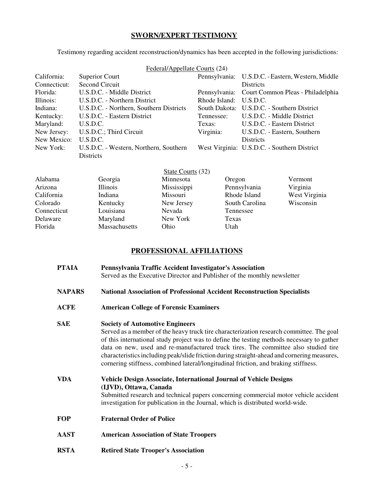#### **SWORN/EXPERT TESTIMONY**

Testimony regarding accident reconstruction/dynamics has been accepted in the following jurisdictions:

| Federal/Appellate Courts (24) |                                         |                        |                                                   |  |  |  |
|-------------------------------|-----------------------------------------|------------------------|---------------------------------------------------|--|--|--|
| California:                   | Superior Court                          |                        | Pennsylvania: U.S.D.C. - Eastern, Western, Middle |  |  |  |
| Connecticut:                  | Second Circuit                          |                        | <b>Districts</b>                                  |  |  |  |
| Florida:                      | U.S.D.C. - Middle District              |                        | Pennsylvania: Court Common Pleas - Philadelphia   |  |  |  |
| Illinois:                     | U.S.D.C. - Northern District            | Rhode Island: U.S.D.C. |                                                   |  |  |  |
| Indiana:                      | U.S.D.C. - Northern, Southern Districts |                        | South Dakota: U.S.D.C. - Southern District        |  |  |  |
| Kentucky:                     | U.S.D.C. - Eastern District             | Tennessee:             | U.S.D.C. - Middle District                        |  |  |  |
| Maryland:                     | U.S.D.C.                                | Texas:                 | U.S.D.C. - Eastern District                       |  |  |  |
| New Jersey:                   | U.S.D.C.; Third Circuit                 | Virginia:              | U.S.D.C. - Eastern, Southern                      |  |  |  |
| New Mexico:                   | U.S.D.C.                                |                        | <b>Districts</b>                                  |  |  |  |
| New York:                     | U.S.D.C. - Western, Northern, Southern  |                        | West Virginia: U.S.D.C. - Southern District       |  |  |  |
|                               | <b>Districts</b>                        |                        |                                                   |  |  |  |

|             |                 | State Courts (32) |                |               |
|-------------|-----------------|-------------------|----------------|---------------|
| Alabama     | Georgia         | Minnesota         | Oregon         | Vermont       |
| Arizona     | <b>Illinois</b> | Mississippi       | Pennsylvania   | Virginia      |
| California  | Indiana         | Missouri          | Rhode Island   | West Virginia |
| Colorado    | Kentucky        | New Jersey        | South Carolina | Wisconsin     |
| Connecticut | Louisiana       | Nevada            | Tennessee      |               |
| Delaware    | Maryland        | New York          | Texas          |               |
| Florida     | Massachusetts   | Ohio              | Utah           |               |
|             |                 |                   |                |               |

#### **PROFESSIONAL AFFILIATIONS**

| PTAIA | Pennsylvania Traffic Accident Investigator's Association                 |  |  |  |  |  |
|-------|--------------------------------------------------------------------------|--|--|--|--|--|
|       | Served as the Executive Director and Publisher of the monthly newsletter |  |  |  |  |  |

- **NAPARS National Association of Professional Accident Reconstruction Specialists**
- **ACFE American College of Forensic Examiners**

#### **SAE Society of Automotive Engineers**

Served as a member of the heavy truck tire characterization research committee. The goal of this international study project was to define the testing methods necessary to gather data on new, used and re-manufactured truck tires. The committee also studied tire characteristics including peak/slide friction during straight-ahead and cornering measures, cornering stiffness, combined lateral/longitudinal friction, and braking stiffness.

**VDA Vehicle Design Associate, International Journal of Vehicle Designs (IJVD), Ottawa, Canada** Submitted research and technical papers concerning commercial motor vehicle accident investigation for publication in the Journal, which is distributed world-wide.

- **FOP Fraternal Order of Police**
- **AAST American Association of State Troopers**
- **RSTA Retired State Trooper's Association**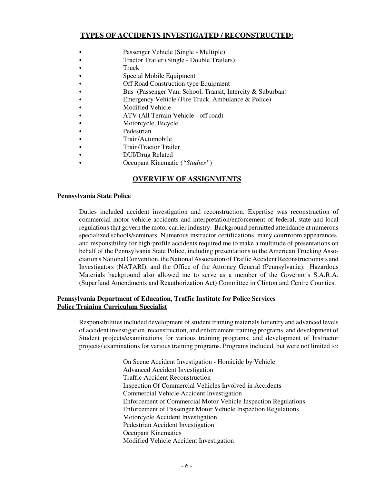# **TYPES OF ACCIDENTS INVESTIGATED / RECONSTRUCTED:**

- Passenger Vehicle (Single Multiple)
- Tractor Trailer (Single Double Trailers)
- $\bullet$  Truck
- Special Mobile Equipment
- Off Road Construction-type Equipment
- Bus (Passenger Van, School, Transit, Intercity & Suburban)
- Emergency Vehicle (Fire Truck, Ambulance & Police)
- Modified Vehicle
- ATV (All Terrain Vehicle off road)
- Motorcycle, Bicycle
- Pedestrian
- Train/Automobile
- Train/Tractor Trailer
- DUI/Drug Related
	- C Occupant Kinematic (*"Studies"*)

# **OVERVIEW OF ASSIGNMENTS**

#### **Pennsylvania State Police**

Duties included accident investigation and reconstruction. Expertise was reconstruction of commercial motor vehicle accidents and interpretation/enforcement of federal, state and local regulations that govern the motor carrier industry. Background permitted attendance at numerous specialized schools/seminars. Numerous instructor certifications, many courtroom appearances and responsibility for high-profile accidents required me to make a multitude of presentations on behalf of the Pennsylvania State Police, including presentations to the American Trucking Association's National Convention, the National Association of Traffic Accident Reconstructionists and Investigators (NATARI), and the Office of the Attorney General (Pennsylvania). Hazardous Materials background also allowed me to serve as a member of the Governor's S.A.R.A. (Superfund Amendments and Reauthorization Act) Committee in Clinton and Centre Counties.

#### **Pennsylvania Department of Education, Traffic Institute for Police Services Police Training Curriculum Specialist**

Responsibilities included development of student training materials for entry and advanced levels of accident investigation, reconstruction, and enforcement training programs, and development of Student projects/examinations for various training programs; and development of Instructor projects/ examinations for various training programs. Programs included, but were not limited to:

> On Scene Accident Investigation - Homicide by Vehicle Advanced Accident Investigation Traffic Accident Reconstruction Inspection Of Commercial Vehicles Involved in Accidents Commercial Vehicle Accident Investigation Enforcement of Commercial Motor Vehicle Inspection Regulations Enforcement of Passenger Motor Vehicle Inspection Regulations Motorcycle Accident Investigation Pedestrian Accident Investigation Occupant Kinematics Modified Vehicle Accident Investigation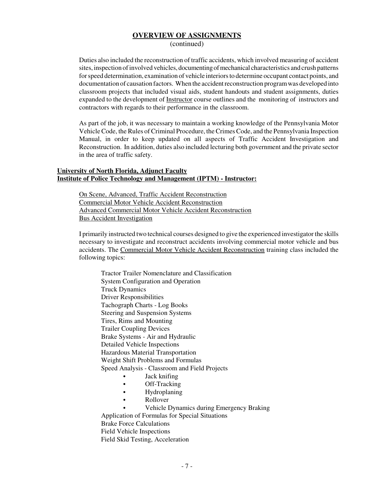#### **OVERVIEW OF ASSIGNMENTS**

(continued)

Duties also included the reconstruction of traffic accidents, which involved measuring of accident sites, inspection of involved vehicles, documenting of mechanical characteristics and crush patterns for speed determination, examination of vehicle interiors to determine occupant contact points, and documentation of causation factors. When the accident reconstruction program was developed into classroom projects that included visual aids, student handouts and student assignments, duties expanded to the development of Instructor course outlines and the monitoring of instructors and contractors with regards to their performance in the classroom.

As part of the job, it was necessary to maintain a working knowledge of the Pennsylvania Motor Vehicle Code, the Rules of Criminal Procedure, the Crimes Code, and the Pennsylvania Inspection Manual, in order to keep updated on all aspects of Traffic Accident Investigation and Reconstruction. In addition, duties also included lecturing both government and the private sector in the area of traffic safety.

#### **University of North Florida, Adjunct Faculty Institute of Police Technology and Management (IPTM) - Instructor:**

On Scene, Advanced, Traffic Accident Reconstruction Commercial Motor Vehicle Accident Reconstruction Advanced Commercial Motor Vehicle Accident Reconstruction Bus Accident Investigation

I primarily instructed two technical courses designed to give the experienced investigator the skills necessary to investigate and reconstruct accidents involving commercial motor vehicle and bus accidents. The Commercial Motor Vehicle Accident Reconstruction training class included the following topics:

Tractor Trailer Nomenclature and Classification System Configuration and Operation Truck Dynamics Driver Responsibilities Tachograph Charts - Log Books Steering and Suspension Systems Tires, Rims and Mounting Trailer Coupling Devices Brake Systems - Air and Hydraulic Detailed Vehicle Inspections Hazardous Material Transportation Weight Shift Problems and Formulas Speed Analysis - Classroom and Field Projects Jack knifing  $\bullet$  Off-Tracking  $\bullet$  Hydroplaning • Rollover Vehicle Dynamics during Emergency Braking

Application of Formulas for Special Situations Brake Force Calculations Field Vehicle Inspections Field Skid Testing, Acceleration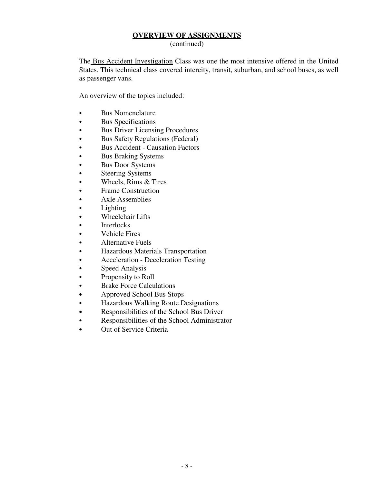# **OVERVIEW OF ASSIGNMENTS**

(continued)

The Bus Accident Investigation Class was one the most intensive offered in the United States. This technical class covered intercity, transit, suburban, and school buses, as well as passenger vans.

An overview of the topics included:

- Bus Nomenclature
- Bus Specifications
- Bus Driver Licensing Procedures
- Bus Safety Regulations (Federal)
- Bus Accident Causation Factors
- Bus Braking Systems
- Bus Door Systems
- Steering Systems
- $\bullet$  Wheels, Rims & Tires
- Frame Construction
- Axle Assemblies
- $\bullet$  Lighting
- Wheelchair Lifts
- Interlocks
- $\bullet$  Vehicle Fires
- Alternative Fuels
- **•** Hazardous Materials Transportation
- Acceleration Deceleration Testing
- Speed Analysis
- Propensity to Roll
- Brake Force Calculations
- Approved School Bus Stops
- Hazardous Walking Route Designations
- Responsibilities of the School Bus Driver
- Responsibilities of the School Administrator
- Out of Service Criteria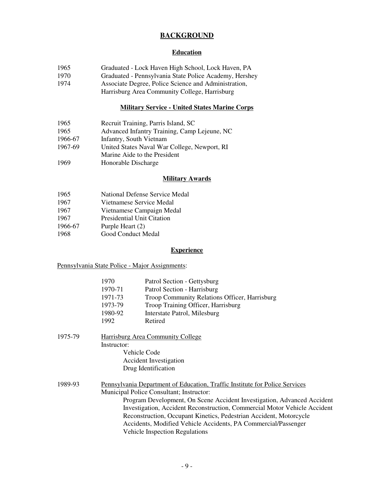# **BACKGROUND**

#### **Education**

| 1965 |  | Graduated - Lock Haven High School, Lock Haven, PA |  |  |  |  |  |
|------|--|----------------------------------------------------|--|--|--|--|--|
|      |  |                                                    |  |  |  |  |  |

- 1970 Graduated Pennsylvania State Police Academy, Hershey<br>1974 Associate Degree, Police Science and Administration,
- Associate Degree, Police Science and Administration,
- Harrisburg Area Community College, Harrisburg

# **Military Service - United States Marine Corps**

| 1965    | Recruit Training, Parris Island, SC          |
|---------|----------------------------------------------|
| 1965    | Advanced Infantry Training, Camp Lejeune, NC |
| 1966-67 | Infantry, South Vietnam                      |
| 1967-69 | United States Naval War College, Newport, RI |
|         | Marine Aide to the President                 |
| 1969    | Honorable Discharge                          |

# **Military Awards**

| 1965    | National Defense Service Medal    |
|---------|-----------------------------------|
| 1967    | Vietnamese Service Medal          |
| 1967    | Vietnamese Campaign Medal         |
| 1967    | <b>Presidential Unit Citation</b> |
| 1966-67 | Purple Heart (2)                  |
| 1968    | Good Conduct Medal                |

#### **Experience**

Pennsylvania State Police - Major Assignments:

|         | 1970                                                                      | Patrol Section - Gettysburg                                                 |  |  |  |
|---------|---------------------------------------------------------------------------|-----------------------------------------------------------------------------|--|--|--|
|         | 1970-71                                                                   | Patrol Section - Harrisburg                                                 |  |  |  |
|         | 1971-73                                                                   | Troop Community Relations Officer, Harrisburg                               |  |  |  |
|         | 1973-79                                                                   | Troop Training Officer, Harrisburg                                          |  |  |  |
|         | 1980-92                                                                   | Interstate Patrol, Milesburg                                                |  |  |  |
|         | 1992                                                                      | Retired                                                                     |  |  |  |
| 1975-79 |                                                                           | Harrisburg Area Community College                                           |  |  |  |
|         | Instructor:                                                               |                                                                             |  |  |  |
|         | Vehicle Code                                                              |                                                                             |  |  |  |
|         |                                                                           | <b>Accident Investigation</b>                                               |  |  |  |
|         |                                                                           | Drug Identification                                                         |  |  |  |
| 1989-93 |                                                                           | Pennsylvania Department of Education, Traffic Institute for Police Services |  |  |  |
|         | Municipal Police Consultant; Instructor:                                  |                                                                             |  |  |  |
|         | Program Development, On Scene Accident Investigation, Advanced Accident   |                                                                             |  |  |  |
|         | Investigation, Accident Reconstruction, Commercial Motor Vehicle Accident |                                                                             |  |  |  |
|         |                                                                           | Reconstruction, Occupant Kinetics, Pedestrian Accident, Motorcycle          |  |  |  |
|         |                                                                           | Accidents, Modified Vehicle Accidents, PA Commercial/Passenger              |  |  |  |
|         |                                                                           | <b>Vehicle Inspection Regulations</b>                                       |  |  |  |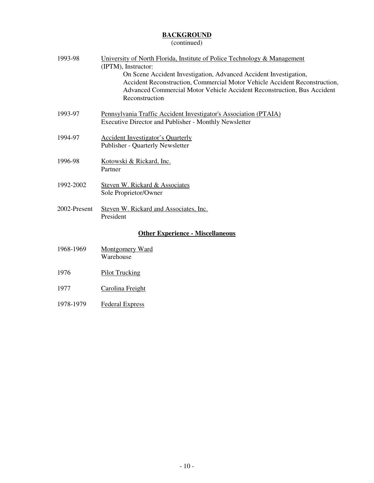# **BACKGROUND**

# (continued)

| 1993-98      | University of North Florida, Institute of Police Technology & Management<br>(IPTM), Instructor:<br>On Scene Accident Investigation, Advanced Accident Investigation,<br>Accident Reconstruction, Commercial Motor Vehicle Accident Reconstruction,<br>Advanced Commercial Motor Vehicle Accident Reconstruction, Bus Accident<br>Reconstruction |
|--------------|-------------------------------------------------------------------------------------------------------------------------------------------------------------------------------------------------------------------------------------------------------------------------------------------------------------------------------------------------|
| 1993-97      | Pennsylvania Traffic Accident Investigator's Association (PTAIA)<br><b>Executive Director and Publisher - Monthly Newsletter</b>                                                                                                                                                                                                                |
| 1994-97      | <b>Accident Investigator's Quarterly</b><br>Publisher - Quarterly Newsletter                                                                                                                                                                                                                                                                    |
| 1996-98      | Kotowski & Rickard, Inc.<br>Partner                                                                                                                                                                                                                                                                                                             |
| 1992-2002    | Steven W. Rickard & Associates<br>Sole Proprietor/Owner                                                                                                                                                                                                                                                                                         |
| 2002-Present | Steven W. Rickard and Associates, Inc.<br>President                                                                                                                                                                                                                                                                                             |

# **Other Experience - Miscellaneous**

| 1968-1969 | Montgomery Ward |
|-----------|-----------------|
|           | Warehouse       |

- 1976 Pilot Trucking
- 1977 Carolina Freight
- 1978-1979 Federal Express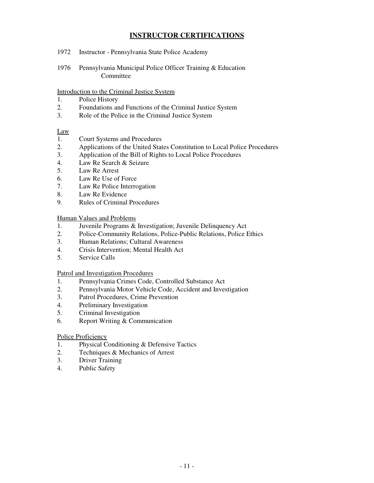# **INSTRUCTOR CERTIFICATIONS**

- 1972 Instructor Pennsylvania State Police Academy
- 1976 Pennsylvania Municipal Police Officer Training & Education Committee

#### Introduction to the Criminal Justice System

- 1. Police History
- 2. Foundations and Functions of the Criminal Justice System
- 3. Role of the Police in the Criminal Justice System

#### Law

- 1. Court Systems and Procedures
- 2. Applications of the United States Constitution to Local Police Procedures<br>3. Application of the Bill of Rights to Local Police Procedures
- 3. Application of the Bill of Rights to Local Police Procedures
- 4. Law Re Search & Seizure
- 5. Law Re Arrest
- 6. Law Re Use of Force
- 7. Law Re Police Interrogation
- 8. Law Re Evidence
- 9. Rules of Criminal Procedures

#### Human Values and Problems

- 1. Juvenile Programs & Investigation; Juvenile Delinquency Act
- 2. Police-Community Relations, Police-Public Relations, Police Ethics<br>3. Human Relations: Cultural Awareness
- 3. Human Relations; Cultural Awareness
- 4. Crisis Intervention; Mental Health Act
- 5. Service Calls

#### Patrol and Investigation Procedures

- 1. Pennsylvania Crimes Code, Controlled Substance Act
- 2. Pennsylvania Motor Vehicle Code, Accident and Investigation
- 3. Patrol Procedures, Crime Prevention
- 4. Preliminary Investigation
- 5. Criminal Investigation
- 6. Report Writing & Communication

#### Police Proficiency

- 1. Physical Conditioning & Defensive Tactics
- 2. Techniques & Mechanics of Arrest
- 3. Driver Training
- 4. Public Safety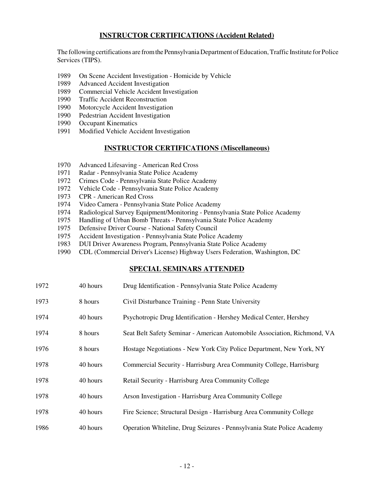# **INSTRUCTOR CERTIFICATIONS (Accident Related)**

The following certifications are from the Pennsylvania Department of Education, Traffic Institute for Police Services (TIPS).

- 1989 On Scene Accident Investigation Homicide by Vehicle
- 1989 Advanced Accident Investigation
- 1989 Commercial Vehicle Accident Investigation
- 1990 Traffic Accident Reconstruction
- 1990 Motorcycle Accident Investigation
- 1990 Pedestrian Accident Investigation
- 1990 Occupant Kinematics
- 1991 Modified Vehicle Accident Investigation

# **INSTRUCTOR CERTIFICATIONS (Miscellaneous)**

- 1970 Advanced Lifesaving American Red Cross
- 1971 Radar Pennsylvania State Police Academy
- 1972 Crimes Code Pennsylvania State Police Academy
- 1972 Vehicle Code Pennsylvania State Police Academy
- 1973 CPR American Red Cross
- 1974 Video Camera Pennsylvania State Police Academy
- 1974 Radiological Survey Equipment/Monitoring Pennsylvania State Police Academy
- 1975 Handling of Urban Bomb Threats Pennsylvania State Police Academy
- 1975 Defensive Driver Course National Safety Council
- 1975 Accident Investigation Pennsylvania State Police Academy
- 1983 DUI Driver Awareness Program, Pennsylvania State Police Academy
- 1990 CDL (Commercial Driver's License) Highway Users Federation, Washington, DC

# **SPECIAL SEMINARS ATTENDED**

| 1972 | 40 hours | Drug Identification - Pennsylvania State Police Academy                  |
|------|----------|--------------------------------------------------------------------------|
| 1973 | 8 hours  | Civil Disturbance Training - Penn State University                       |
| 1974 | 40 hours | Psychotropic Drug Identification - Hershey Medical Center, Hershey       |
| 1974 | 8 hours  | Seat Belt Safety Seminar - American Automobile Association, Richmond, VA |
| 1976 | 8 hours  | Hostage Negotiations - New York City Police Department, New York, NY     |
| 1978 | 40 hours | Commercial Security - Harrisburg Area Community College, Harrisburg      |
| 1978 | 40 hours | Retail Security - Harrisburg Area Community College                      |
| 1978 | 40 hours | Arson Investigation - Harrisburg Area Community College                  |
| 1978 | 40 hours | Fire Science; Structural Design - Harrisburg Area Community College      |
| 1986 | 40 hours | Operation Whiteline, Drug Seizures - Pennsylvania State Police Academy   |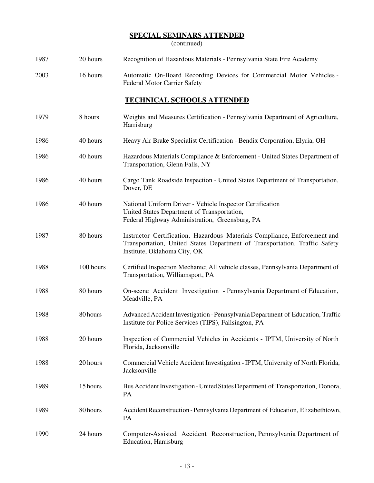# **SPECIAL SEMINARS ATTENDED**

(continued)

| 1987 | 20 hours | Recognition of Hazardous Materials - Pennsylvania State Fire Academy |  |
|------|----------|----------------------------------------------------------------------|--|
|      |          |                                                                      |  |

2003 16 hours Automatic On-Board Recording Devices for Commercial Motor Vehicles - Federal Motor Carrier Safety

# **TECHNICAL SCHOOLS ATTENDED**

| 1979 | 8 hours   | Weights and Measures Certification - Pennsylvania Department of Agriculture,<br>Harrisburg                                                                                              |
|------|-----------|-----------------------------------------------------------------------------------------------------------------------------------------------------------------------------------------|
| 1986 | 40 hours  | Heavy Air Brake Specialist Certification - Bendix Corporation, Elyria, OH                                                                                                               |
| 1986 | 40 hours  | Hazardous Materials Compliance & Enforcement - United States Department of<br>Transportation, Glenn Falls, NY                                                                           |
| 1986 | 40 hours  | Cargo Tank Roadside Inspection - United States Department of Transportation,<br>Dover, DE                                                                                               |
| 1986 | 40 hours  | National Uniform Driver - Vehicle Inspector Certification<br>United States Department of Transportation,<br>Federal Highway Administration, Greensburg, PA                              |
| 1987 | 80 hours  | Instructor Certification, Hazardous Materials Compliance, Enforcement and<br>Transportation, United States Department of Transportation, Traffic Safety<br>Institute, Oklahoma City, OK |
| 1988 | 100 hours | Certified Inspection Mechanic; All vehicle classes, Pennsylvania Department of<br>Transportation, Williamsport, PA                                                                      |
| 1988 | 80 hours  | On-scene Accident Investigation - Pennsylvania Department of Education,<br>Meadville, PA                                                                                                |
| 1988 | 80 hours  | Advanced Accident Investigation - Pennsylvania Department of Education, Traffic<br>Institute for Police Services (TIPS), Fallsington, PA                                                |
| 1988 | 20 hours  | Inspection of Commercial Vehicles in Accidents - IPTM, University of North<br>Florida, Jacksonville                                                                                     |
| 1988 | 20 hours  | Commercial Vehicle Accident Investigation - IPTM, University of North Florida,<br>Jacksonville                                                                                          |
| 1989 | 15 hours  | Bus Accident Investigation - United States Department of Transportation, Donora,<br>PA                                                                                                  |
| 1989 | 80 hours  | Accident Reconstruction - Pennsylvania Department of Education, Elizabethtown,<br>PA                                                                                                    |
| 1990 | 24 hours  | Computer-Assisted Accident Reconstruction, Pennsylvania Department of<br><b>Education</b> , Harrisburg                                                                                  |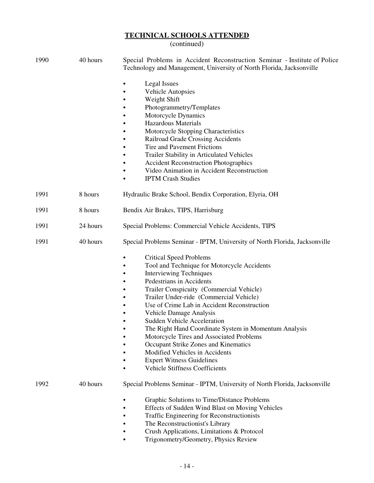| 1990 | 40 hours | Special Problems in Accident Reconstruction Seminar - Institute of Police<br>Technology and Management, University of North Florida, Jacksonville                                                                                                                                                                                                                                                                                                                                                                                                                                                                                             |
|------|----------|-----------------------------------------------------------------------------------------------------------------------------------------------------------------------------------------------------------------------------------------------------------------------------------------------------------------------------------------------------------------------------------------------------------------------------------------------------------------------------------------------------------------------------------------------------------------------------------------------------------------------------------------------|
|      |          | Legal Issues<br><b>Vehicle Autopsies</b><br>Weight Shift<br>Photogrammetry/Templates<br>Motorcycle Dynamics<br><b>Hazardous Materials</b><br>Motorcycle Stopping Characteristics<br>Railroad Grade Crossing Accidents<br>Tire and Pavement Frictions<br>Trailer Stability in Articulated Vehicles<br><b>Accident Reconstruction Photographics</b><br>$\bullet$<br>Video Animation in Accident Reconstruction<br>$\bullet$<br><b>IPTM Crash Studies</b><br>$\bullet$                                                                                                                                                                           |
| 1991 | 8 hours  | Hydraulic Brake School, Bendix Corporation, Elyria, OH                                                                                                                                                                                                                                                                                                                                                                                                                                                                                                                                                                                        |
| 1991 | 8 hours  | Bendix Air Brakes, TIPS, Harrisburg                                                                                                                                                                                                                                                                                                                                                                                                                                                                                                                                                                                                           |
| 1991 | 24 hours | Special Problems: Commercial Vehicle Accidents, TIPS                                                                                                                                                                                                                                                                                                                                                                                                                                                                                                                                                                                          |
| 1991 | 40 hours | Special Problems Seminar - IPTM, University of North Florida, Jacksonville                                                                                                                                                                                                                                                                                                                                                                                                                                                                                                                                                                    |
|      |          | <b>Critical Speed Problems</b><br>٠<br>Tool and Technique for Motorcycle Accidents<br>$\bullet$<br><b>Interviewing Techniques</b><br>$\bullet$<br>Pedestrians in Accidents<br>Trailer Conspicuity (Commercial Vehicle)<br>Trailer Under-ride (Commercial Vehicle)<br>Use of Crime Lab in Accident Reconstruction<br>Vehicle Damage Analysis<br><b>Sudden Vehicle Acceleration</b><br>The Right Hand Coordinate System in Momentum Analysis<br>Motorcycle Tires and Associated Problems<br>Occupant Strike Zones and Kinematics<br>Modified Vehicles in Accidents<br><b>Expert Witness Guidelines</b><br><b>Vehicle Stiffness Coefficients</b> |
| 1992 | 40 hours | Special Problems Seminar - IPTM, University of North Florida, Jacksonville<br>Graphic Solutions to Time/Distance Problems<br>Effects of Sudden Wind Blast on Moving Vehicles<br>Traffic Engineering for Reconstructionists<br>The Reconstructionist's Library<br>Crush Applications, Limitations & Protocol<br>Trigonometry/Geometry, Physics Review                                                                                                                                                                                                                                                                                          |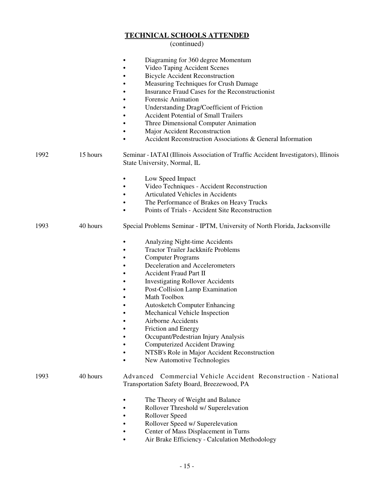#### (continued)

|      |          | Diagraming for 360 degree Momentum<br>Video Taping Accident Scenes<br><b>Bicycle Accident Reconstruction</b><br>Measuring Techniques for Crush Damage<br>Insurance Fraud Cases for the Reconstructionist<br><b>Forensic Animation</b><br>Understanding Drag/Coefficient of Friction<br><b>Accident Potential of Small Trailers</b><br>Three Dimensional Computer Animation<br>Major Accident Reconstruction<br>Accident Reconstruction Associations & General Information<br>٠                                                                                                                                                       |
|------|----------|--------------------------------------------------------------------------------------------------------------------------------------------------------------------------------------------------------------------------------------------------------------------------------------------------------------------------------------------------------------------------------------------------------------------------------------------------------------------------------------------------------------------------------------------------------------------------------------------------------------------------------------|
| 1992 | 15 hours | Seminar - IATAI (Illinois Association of Traffic Accident Investigators), Illinois<br>State University, Normal, IL                                                                                                                                                                                                                                                                                                                                                                                                                                                                                                                   |
|      |          | Low Speed Impact<br>$\bullet$<br>Video Techniques - Accident Reconstruction<br>Articulated Vehicles in Accidents<br>The Performance of Brakes on Heavy Trucks<br>Points of Trials - Accident Site Reconstruction                                                                                                                                                                                                                                                                                                                                                                                                                     |
| 1993 | 40 hours | Special Problems Seminar - IPTM, University of North Florida, Jacksonville<br>Analyzing Night-time Accidents<br><b>Tractor Trailer Jackknife Problems</b><br><b>Computer Programs</b><br>Deceleration and Accelerometers<br>Accident Fraud Part II<br><b>Investigating Rollover Accidents</b><br>Post-Collision Lamp Examination<br>Math Toolbox<br><b>Autosketch Computer Enhancing</b><br>Mechanical Vehicle Inspection<br>Airborne Accidents<br>Friction and Energy<br>Occupant/Pedestrian Injury Analysis<br><b>Computerized Accident Drawing</b><br>NTSB's Role in Major Accident Reconstruction<br>New Automotive Technologies |
| 1993 | 40 hours | Commercial Vehicle Accident Reconstruction - National<br>Advanced<br>Transportation Safety Board, Breezewood, PA<br>The Theory of Weight and Balance<br>Rollover Threshold w/ Superelevation<br>Rollover Speed<br>Rollover Speed w/ Superelevation<br>Center of Mass Displacement in Turns                                                                                                                                                                                                                                                                                                                                           |

• Air Brake Efficiency - Calculation Methodology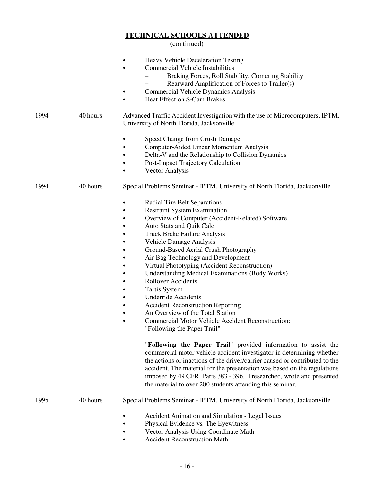|      |          | <b>Heavy Vehicle Deceleration Testing</b><br><b>Commercial Vehicle Instabilities</b><br>Braking Forces, Roll Stability, Cornering Stability<br>Rearward Amplification of Forces to Trailer(s)<br><b>Commercial Vehicle Dynamics Analysis</b><br>Heat Effect on S-Cam Brakes<br>$\bullet$                                                                                                                                                                                                                                                                                                                                                                                                                           |
|------|----------|--------------------------------------------------------------------------------------------------------------------------------------------------------------------------------------------------------------------------------------------------------------------------------------------------------------------------------------------------------------------------------------------------------------------------------------------------------------------------------------------------------------------------------------------------------------------------------------------------------------------------------------------------------------------------------------------------------------------|
| 1994 | 40 hours | Advanced Traffic Accident Investigation with the use of Microcomputers, IPTM,<br>University of North Florida, Jacksonville                                                                                                                                                                                                                                                                                                                                                                                                                                                                                                                                                                                         |
|      |          | Speed Change from Crush Damage<br>Computer-Aided Linear Momentum Analysis<br>$\bullet$<br>Delta-V and the Relationship to Collision Dynamics<br>$\bullet$<br>Post-Impact Trajectory Calculation<br>Vector Analysis                                                                                                                                                                                                                                                                                                                                                                                                                                                                                                 |
| 1994 | 40 hours | Special Problems Seminar - IPTM, University of North Florida, Jacksonville                                                                                                                                                                                                                                                                                                                                                                                                                                                                                                                                                                                                                                         |
|      |          | <b>Radial Tire Belt Separations</b><br>$\bullet$<br><b>Restraint System Examination</b><br>Overview of Computer (Accident-Related) Software<br>$\bullet$<br>Auto Stats and Quik Calc<br>٠<br>Truck Brake Failure Analysis<br>Vehicle Damage Analysis<br>Ground-Based Aerial Crush Photography<br>Air Bag Technology and Development<br>Virtual Phototyping (Accident Reconstruction)<br><b>Understanding Medical Examinations (Body Works)</b><br><b>Rollover Accidents</b><br><b>Tartis System</b><br><b>Underride Accidents</b><br><b>Accident Reconstruction Reporting</b><br>$\bullet$<br>An Overview of the Total Station<br>Commercial Motor Vehicle Accident Reconstruction:<br>"Following the Paper Trail" |
|      |          | "Following the Paper Trail" provided information to assist the<br>commercial motor vehicle accident investigator in determining whether<br>the actions or inactions of the driver/carrier caused or contributed to the<br>accident. The material for the presentation was based on the regulations<br>imposed by 49 CFR, Parts 383 - 396. I researched, wrote and presented<br>the material to over 200 students attending this seminar.                                                                                                                                                                                                                                                                           |
| 1995 | 40 hours | Special Problems Seminar - IPTM, University of North Florida, Jacksonville                                                                                                                                                                                                                                                                                                                                                                                                                                                                                                                                                                                                                                         |
|      |          | Accident Animation and Simulation - Legal Issues<br>Physical Evidence vs. The Eyewitness<br>Vector Analysis Using Coordinate Math<br><b>Accident Reconstruction Math</b>                                                                                                                                                                                                                                                                                                                                                                                                                                                                                                                                           |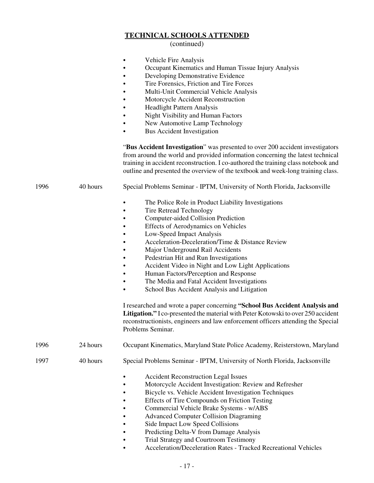|      |          | Vehicle Fire Analysis<br>Occupant Kinematics and Human Tissue Injury Analysis<br>Developing Demonstrative Evidence<br>Tire Forensics, Friction and Tire Forces<br>Multi-Unit Commercial Vehicle Analysis<br>Motorcycle Accident Reconstruction<br><b>Headlight Pattern Analysis</b><br>Night Visibility and Human Factors<br>New Automotive Lamp Technology<br><b>Bus Accident Investigation</b>                                                                                                                                                                                                                                                                                                                                                                                                                   |
|------|----------|--------------------------------------------------------------------------------------------------------------------------------------------------------------------------------------------------------------------------------------------------------------------------------------------------------------------------------------------------------------------------------------------------------------------------------------------------------------------------------------------------------------------------------------------------------------------------------------------------------------------------------------------------------------------------------------------------------------------------------------------------------------------------------------------------------------------|
|      |          | "Bus Accident Investigation" was presented to over 200 accident investigators<br>from around the world and provided information concerning the latest technical<br>training in accident reconstruction. I co-authored the training class notebook and<br>outline and presented the overview of the textbook and week-long training class.                                                                                                                                                                                                                                                                                                                                                                                                                                                                          |
| 1996 | 40 hours | Special Problems Seminar - IPTM, University of North Florida, Jacksonville                                                                                                                                                                                                                                                                                                                                                                                                                                                                                                                                                                                                                                                                                                                                         |
|      |          | The Police Role in Product Liability Investigations<br><b>Tire Retread Technology</b><br>Computer-aided Collision Prediction<br><b>Effects of Aerodynamics on Vehicles</b><br>Low-Speed Impact Analysis<br>Acceleration-Deceleration/Time & Distance Review<br>Major Underground Rail Accidents<br>Pedestrian Hit and Run Investigations<br>Accident Video in Night and Low Light Applications<br>Human Factors/Perception and Response<br>The Media and Fatal Accident Investigations<br>School Bus Accident Analysis and Litigation<br>I researched and wrote a paper concerning "School Bus Accident Analysis and<br>Litigation." I co-presented the material with Peter Kotowski to over 250 accident<br>reconstructionists, engineers and law enforcement officers attending the Special<br>Problems Seminar. |
| 1996 | 24 hours | Occupant Kinematics, Maryland State Police Academy, Reisterstown, Maryland                                                                                                                                                                                                                                                                                                                                                                                                                                                                                                                                                                                                                                                                                                                                         |
| 1997 | 40 hours | Special Problems Seminar - IPTM, University of North Florida, Jacksonville                                                                                                                                                                                                                                                                                                                                                                                                                                                                                                                                                                                                                                                                                                                                         |
|      |          | <b>Accident Reconstruction Legal Issues</b><br>Motorcycle Accident Investigation: Review and Refresher<br>Bicycle vs. Vehicle Accident Investigation Techniques<br>Effects of Tire Compounds on Friction Testing<br>Commercial Vehicle Brake Systems - w/ABS<br><b>Advanced Computer Collision Diagraming</b><br>Side Impact Low Speed Collisions<br>Predicting Delta-V from Damage Analysis<br><b>Trial Strategy and Courtroom Testimony</b><br>Acceleration/Deceleration Rates - Tracked Recreational Vehicles                                                                                                                                                                                                                                                                                                   |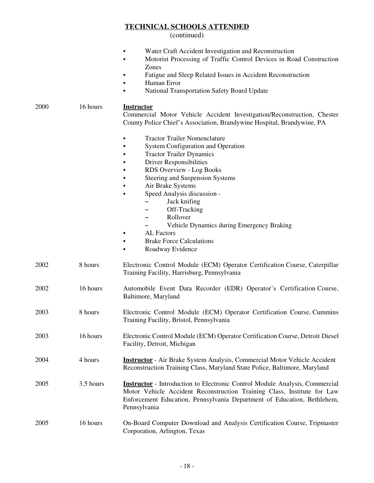|      |           | Water Craft Accident Investigation and Reconstruction<br>Motorist Processing of Traffic Control Devices in Road Construction<br>$\bullet$<br>Zones<br>Fatigue and Sleep Related Issues in Accident Reconstruction<br>Human Error<br>National Transportation Safety Board Update                                                                                                                                                               |
|------|-----------|-----------------------------------------------------------------------------------------------------------------------------------------------------------------------------------------------------------------------------------------------------------------------------------------------------------------------------------------------------------------------------------------------------------------------------------------------|
| 2000 | 16 hours  | <b>Instructor</b><br>Commercial Motor Vehicle Accident Investigation/Reconstruction, Chester<br>County Police Chief's Association, Brandywine Hospital, Brandywine, PA                                                                                                                                                                                                                                                                        |
|      |           | <b>Tractor Trailer Nomenclature</b><br><b>System Configuration and Operation</b><br><b>Tractor Trailer Dynamics</b><br><b>Driver Responsibilities</b><br>RDS Overview - Log Books<br>Steering and Suspension Systems<br>Air Brake Systems<br>Speed Analysis discussion -<br>Jack knifing<br>Off-Tracking<br>Rollover<br>Vehicle Dynamics during Emergency Braking<br><b>AL</b> Factors<br><b>Brake Force Calculations</b><br>Roadway Evidence |
| 2002 | 8 hours   | Electronic Control Module (ECM) Operator Certification Course, Caterpillar<br>Training Facility, Harrisburg, Pennsylvania                                                                                                                                                                                                                                                                                                                     |
| 2002 | 16 hours  | Automobile Event Data Recorder (EDR) Operator's Certification Course,<br>Baltimore, Maryland                                                                                                                                                                                                                                                                                                                                                  |
| 2003 | 8 hours   | Electronic Control Module (ECM) Operator Certification Course, Cummins<br>Training Facility, Bristol, Pennsylvania                                                                                                                                                                                                                                                                                                                            |
| 2003 | 16 hours  | Electronic Control Module (ECM) Operator Certification Course, Detroit Diesel<br>Facility, Detroit, Michigan                                                                                                                                                                                                                                                                                                                                  |
| 2004 | 4 hours   | <b>Instructor</b> - Air Brake System Analysis, Commercial Motor Vehicle Accident<br>Reconstruction Training Class, Maryland State Police, Baltimore, Maryland                                                                                                                                                                                                                                                                                 |
| 2005 | 3.5 hours | <b>Instructor</b> - Introduction to Electronic Control Module Analysis, Commercial<br>Motor Vehicle Accident Reconstruction Training Class, Institute for Law<br>Enforcement Education, Pennsylvania Department of Education, Bethlehem,<br>Pennsylvania                                                                                                                                                                                      |
| 2005 | 16 hours  | On-Board Computer Download and Analysis Certification Course, Tripmaster<br>Corporation, Arlington, Texas                                                                                                                                                                                                                                                                                                                                     |